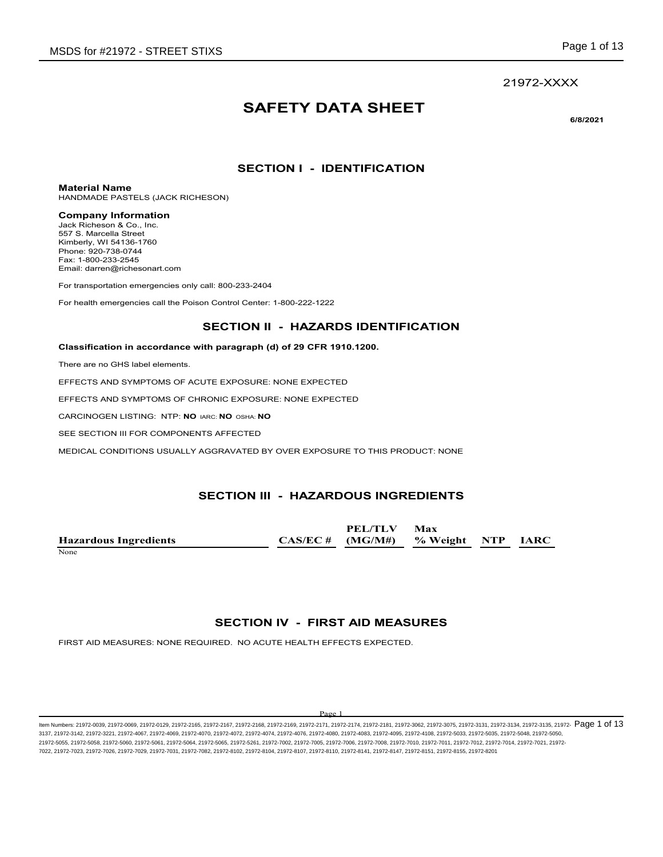## 21972-XXXX

## **SAFETY DATA SHEET**

**6/8/2021**

## **SECTION I - IDENTIFICATION**

### **Material Name**

HANDMADE PASTELS (JACK RICHESON)

### **Company Information**

Jack Richeson & Co., Inc. 557 S. Marcella Street Kimberly, WI 54136-1760 Phone: 920-738-0744 Fax: 1-800-233-2545 Email: darren@richesonart.com

For transportation emergencies only call: 800-233-2404

For health emergencies call the Poison Control Center: 1-800-222-1222

## **SECTION II - HAZARDS IDENTIFICATION**

### **Classification in accordance with paragraph (d) of 29 CFR 1910.1200.**

There are no GHS label elements.

EFFECTS AND SYMPTOMS OF ACUTE EXPOSURE: NONE EXPECTED

EFFECTS AND SYMPTOMS OF CHRONIC EXPOSURE: NONE EXPECTED

CARCINOGEN LISTING: NTP: **NO** IARC: **NO** OSHA: **NO**

SEE SECTION III FOR COMPONENTS AFFECTED

MEDICAL CONDITIONS USUALLY AGGRAVATED BY OVER EXPOSURE TO THIS PRODUCT: NONE

## **SECTION III - HAZARDOUS INGREDIENTS**

**Hazardous Ingredients CAS/EC # PEL/TLV (MG/M#) Max % Weight NTP IARC** None experience and the set of the set of the set of the set of the set of the set of the set of the set of the set of the set of the set of the set of the set of the set of the set of the set of the set of the set of the

## **SECTION IV - FIRST AID MEASURES**

FIRST AID MEASURES: NONE REQUIRED. NO ACUTE HEALTH EFFECTS EXPECTED.

#### Page 1

ltem Numbers: 21972-0039, 21972-0069, 21972-0129, 21972-2165, 21972-2169, 21972-2169, 21972-2171, 21972-2174, 21972-2181, 21972-3062, 21972-3075, 21972-3131, 21972-3134, 21972-3135, 21972-3135, 21972-  $\overline{P}$   $\overline{O}$   $\over$ 3137, 21972-3142, 21972-3221, 21972-4067, 21972-4069, 21972-4070, 21972-4072, 21972-4074, 21972-4076, 21972-4080, 21972-4083, 21972-4095, 21972-4108, 21972-5033, 21972-5035, 21972-5048, 21972-5050, 21972-5055, 21972-5058, 21972-5060, 21972-5061, 21972-5064, 21972-5065, 21972-5261, 21972-7002, 21972-7005, 21972-7006, 21972-7008, 21972-7010, 21972-7011, 21972-7012, 21972-7014, 21972-7021, 21972- 7022, 21972-7023, 21972-7026, 21972-7029, 21972-7031, 21972-7082, 21972-8102, 21972-8104, 21972-8107, 21972-8110, 21972-8141, 21972-8147, 21972-8151, 21972-8155, 21972-8201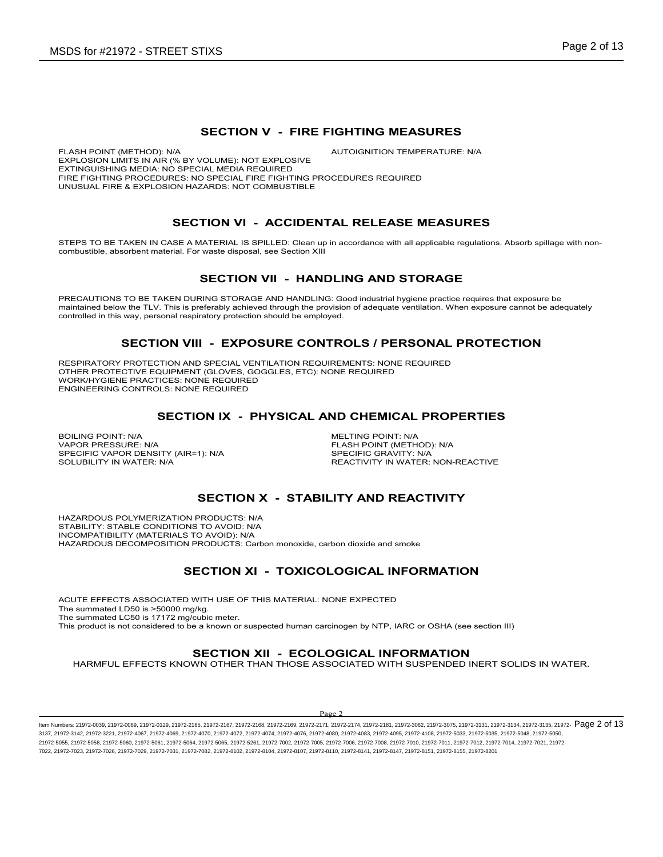## **SECTION V - FIRE FIGHTING MEASURES**

FLASH POINT (METHOD): N/A **AUTOIGNITION TEMPERATURE: N/A** EXPLOSION LIMITS IN AIR (% BY VOLUME): NOT EXPLOSIVE EXTINGUISHING MEDIA: NO SPECIAL MEDIA REQUIRED FIRE FIGHTING PROCEDURES: NO SPECIAL FIRE FIGHTING PROCEDURES REQUIRED UNUSUAL FIRE & EXPLOSION HAZARDS: NOT COMBUSTIBLE

## **SECTION VI - ACCIDENTAL RELEASE MEASURES**

STEPS TO BE TAKEN IN CASE A MATERIAL IS SPILLED: Clean up in accordance with all applicable regulations. Absorb spillage with noncombustible, absorbent material. For waste disposal, see Section XIII

## **SECTION VII - HANDLING AND STORAGE**

PRECAUTIONS TO BE TAKEN DURING STORAGE AND HANDLING: Good industrial hygiene practice requires that exposure be maintained below the TLV. This is preferably achieved through the provision of adequate ventilation. When exposure cannot be adequately controlled in this way, personal respiratory protection should be employed.

## **SECTION VIII - EXPOSURE CONTROLS / PERSONAL PROTECTION**

RESPIRATORY PROTECTION AND SPECIAL VENTILATION REQUIREMENTS: NONE REQUIRED OTHER PROTECTIVE EQUIPMENT (GLOVES, GOGGLES, ETC): NONE REQUIRED WORK/HYGIENE PRACTICES: NONE REQUIRED ENGINEERING CONTROLS: NONE REQUIRED

## **SECTION IX - PHYSICAL AND CHEMICAL PROPERTIES**

BOILING POINT: N/A<br>
VAPOR PRESSURE: N/A<br>
VAPOR PRESSURE: N/A SPECIFIC VAPOR DENSITY (AIR=1): N/A<br>SOLUBILITY IN WATER: N/A

FLASH POINT (METHOD): N/A<br>SPECIFIC GRAVITY: N/A REACTIVITY IN WATER: NON-REACTIVE

## **SECTION X - STABILITY AND REACTIVITY**

HAZARDOUS POLYMERIZATION PRODUCTS: N/A STABILITY: STABLE CONDITIONS TO AVOID: N/A INCOMPATIBILITY (MATERIALS TO AVOID): N/A HAZARDOUS DECOMPOSITION PRODUCTS: Carbon monoxide, carbon dioxide and smoke

## **SECTION XI - TOXICOLOGICAL INFORMATION**

ACUTE EFFECTS ASSOCIATED WITH USE OF THIS MATERIAL: NONE EXPECTED The summated LD50 is >50000 mg/kg. The summated LC50 is 17172 mg/cubic meter. This product is not considered to be a known or suspected human carcinogen by NTP, IARC or OSHA (see section III)

## **SECTION XII - ECOLOGICAL INFORMATION**

HARMFUL EFFECTS KNOWN OTHER THAN THOSE ASSOCIATED WITH SUSPENDED INERT SOLIDS IN WATER.

### $D_{\alpha\alpha\alpha}$

ltem Numbers: 21972-0039, 21972-0069, 21972-0129, 21972-2165, 21972-2168, 21972-2168, 21972-2169, 21972-2171, 21972-2174, 21972-2181, 21972-3062, 21972-3075, 21972-3131, 21972-3134, 21972-3135, 21972-  $\mathbf{P}$ age 2 of 13 3137, 21972-3142, 21972-3221, 21972-4067, 21972-4069, 21972-4070, 21972-4072, 21972-4074, 21972-4076, 21972-4080, 21972-4083, 21972-4095, 21972-4108, 21972-5033, 21972-5035, 21972-5048, 21972-5050, 21972-5055, 21972-5058, 21972-5060, 21972-5061, 21972-5064, 21972-5065, 21972-5261, 21972-7002, 21972-7005, 21972-7006, 21972-7008, 21972-7010, 21972-7011, 21972-7012, 21972-7014, 21972-7021, 21972- 7022, 21972-7023, 21972-7026, 21972-7029, 21972-7031, 21972-7082, 21972-8102, 21972-8104, 21972-8107, 21972-8110, 21972-8141, 21972-8147, 21972-8151, 21972-8155, 21972-8201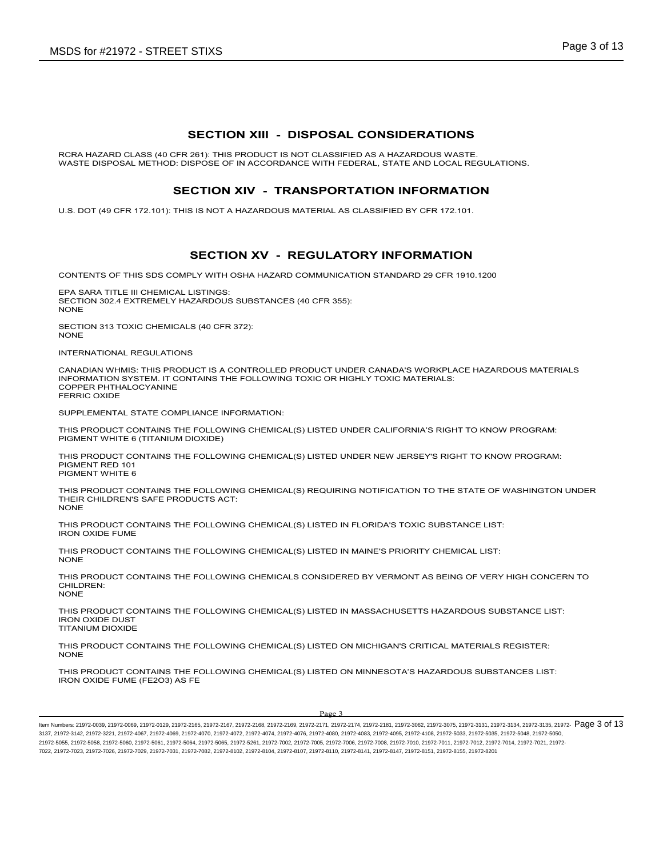## **SECTION XIII - DISPOSAL CONSIDERATIONS**

RCRA HAZARD CLASS (40 CFR 261): THIS PRODUCT IS NOT CLASSIFIED AS A HAZARDOUS WASTE. WASTE DISPOSAL METHOD: DISPOSE OF IN ACCORDANCE WITH FEDERAL, STATE AND LOCAL REGULATIONS.

## **SECTION XIV - TRANSPORTATION INFORMATION**

U.S. DOT (49 CFR 172.101): THIS IS NOT A HAZARDOUS MATERIAL AS CLASSIFIED BY CFR 172.101.

## **SECTION XV - REGULATORY INFORMATION**

CONTENTS OF THIS SDS COMPLY WITH OSHA HAZARD COMMUNICATION STANDARD 29 CFR 1910.1200

EPA SARA TITLE III CHEMICAL LISTINGS: SECTION 302.4 EXTREMELY HAZARDOUS SUBSTANCES (40 CFR 355): **NONE** 

SECTION 313 TOXIC CHEMICALS (40 CFR 372): NONE

INTERNATIONAL REGULATIONS

CANADIAN WHMIS: THIS PRODUCT IS A CONTROLLED PRODUCT UNDER CANADA'S WORKPLACE HAZARDOUS MATERIALS INFORMATION SYSTEM. IT CONTAINS THE FOLLOWING TOXIC OR HIGHLY TOXIC MATERIALS: COPPER PHTHALOCYANINE FERRIC OXIDE

SUPPLEMENTAL STATE COMPLIANCE INFORMATION:

THIS PRODUCT CONTAINS THE FOLLOWING CHEMICAL(S) LISTED UNDER CALIFORNIA'S RIGHT TO KNOW PROGRAM: PIGMENT WHITE 6 (TITANIUM DIOXIDE)

THIS PRODUCT CONTAINS THE FOLLOWING CHEMICAL(S) LISTED UNDER NEW JERSEY'S RIGHT TO KNOW PROGRAM: PIGMENT RED 101 PIGMENT WHITE 6

THIS PRODUCT CONTAINS THE FOLLOWING CHEMICAL(S) REQUIRING NOTIFICATION TO THE STATE OF WASHINGTON UNDER THEIR CHILDREN'S SAFE PRODUCTS ACT: NONE

THIS PRODUCT CONTAINS THE FOLLOWING CHEMICAL(S) LISTED IN FLORIDA'S TOXIC SUBSTANCE LIST: IRON OXIDE FUME

THIS PRODUCT CONTAINS THE FOLLOWING CHEMICAL(S) LISTED IN MAINE'S PRIORITY CHEMICAL LIST: NONE

THIS PRODUCT CONTAINS THE FOLLOWING CHEMICALS CONSIDERED BY VERMONT AS BEING OF VERY HIGH CONCERN TO CHILDREN: NONE

THIS PRODUCT CONTAINS THE FOLLOWING CHEMICAL(S) LISTED IN MASSACHUSETTS HAZARDOUS SUBSTANCE LIST: IRON OXIDE DUST TITANIUM DIOXIDE

THIS PRODUCT CONTAINS THE FOLLOWING CHEMICAL(S) LISTED ON MICHIGAN'S CRITICAL MATERIALS REGISTER: NONE

THIS PRODUCT CONTAINS THE FOLLOWING CHEMICAL(S) LISTED ON MINNESOTA'S HAZARDOUS SUBSTANCES LIST: IRON OXIDE FUME (FE2O3) AS FE

#### Page 3

ltem Numbers: 21972-0039, 21972-0069, 21972-0129, 21972-2165, 21972-2169, 21972-2169, 21972-2171, 21972-2174, 21972-2181, 21972-3062, 21972-3075, 21972-3131, 21972-3134, 21972-3135, 21972-3135, 21972-  $\overline{P}$   $\overline{O}$   $\over$ 3137, 21972-3142, 21972-3221, 21972-4067, 21972-4069, 21972-4070, 21972-4072, 21972-4074, 21972-4076, 21972-4080, 21972-4083, 21972-4095, 21972-4108, 21972-5033, 21972-5035, 21972-5048, 21972-5050, 21972-5055, 21972-5058, 21972-5060, 21972-5061, 21972-5064, 21972-5065, 21972-5261, 21972-7002, 21972-7005, 21972-7006, 21972-7008, 21972-7010, 21972-7011, 21972-7012, 21972-7014, 21972-7021, 21972- 7022, 21972-7023, 21972-7026, 21972-7029, 21972-7031, 21972-7082, 21972-8102, 21972-8104, 21972-8107, 21972-8110, 21972-8141, 21972-8147, 21972-8151, 21972-8155, 21972-8201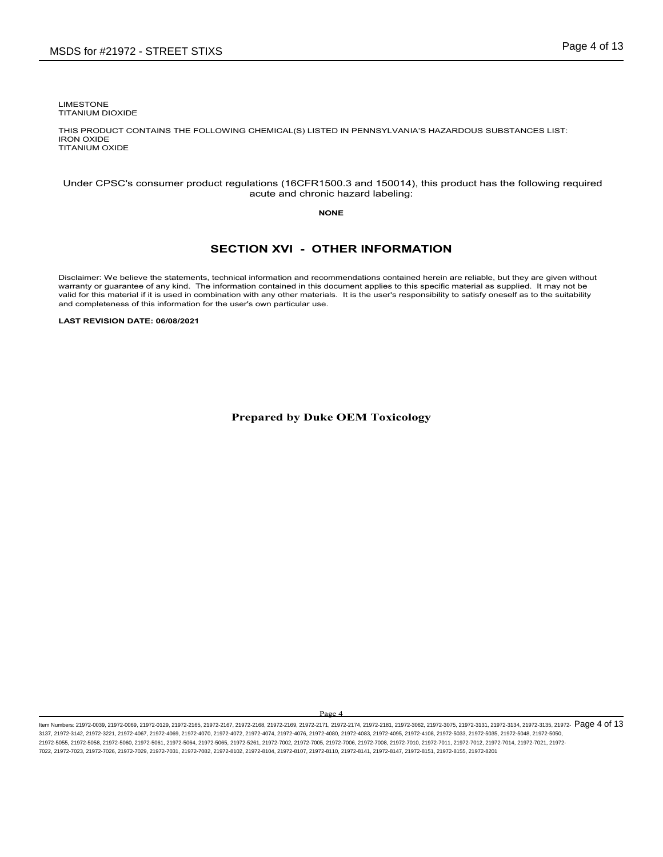LIMESTONE TITANIUM DIOXIDE

THIS PRODUCT CONTAINS THE FOLLOWING CHEMICAL(S) LISTED IN PENNSYLVANIA'S HAZARDOUS SUBSTANCES LIST: IRON OXIDE TITANIUM OXIDE

### Under CPSC's consumer product regulations (16CFR1500.3 and 150014), this product has the following required acute and chronic hazard labeling:

### **NONE**

## **SECTION XVI - OTHER INFORMATION**

Disclaimer: We believe the statements, technical information and recommendations contained herein are reliable, but they are given without warranty or guarantee of any kind. The information contained in this document applies to this specific material as supplied. It may not be valid for this material if it is used in combination with any other materials. It is the user's responsibility to satisfy oneself as to the suitability and completeness of this information for the user's own particular use.

**LAST REVISION DATE: 06/08/2021**

**Prepared by Duke OEM Toxicology**

Page 4

ltem Numbers: 21972-0039, 21972-0069, 21972-0129, 21972-2165, 21972-2168, 21972-2168, 21972-2169, 21972-2171, 21972-2174, 21972-2181, 21972-3062, 21972-3075, 21972-3131, 21972-3134, 21972-3135, 21972-  $\mathbf{P}$ age 4 of 13 3137, 21972-3142, 21972-3221, 21972-4067, 21972-4069, 21972-4070, 21972-4072, 21972-4074, 21972-4076, 21972-4080, 21972-4083, 21972-4095, 21972-4108, 21972-5033, 21972-5035, 21972-5048, 21972-5050, 21972-5055, 21972-5058, 21972-5060, 21972-5061, 21972-5064, 21972-5065, 21972-5261, 21972-7002, 21972-7005, 21972-7006, 21972-7008, 21972-7010, 21972-7011, 21972-7012, 21972-7014, 21972-7021, 21972- 7022, 21972-7023, 21972-7026, 21972-7029, 21972-7031, 21972-7082, 21972-8102, 21972-8104, 21972-8107, 21972-8110, 21972-8141, 21972-8147, 21972-8151, 21972-8155, 21972-8201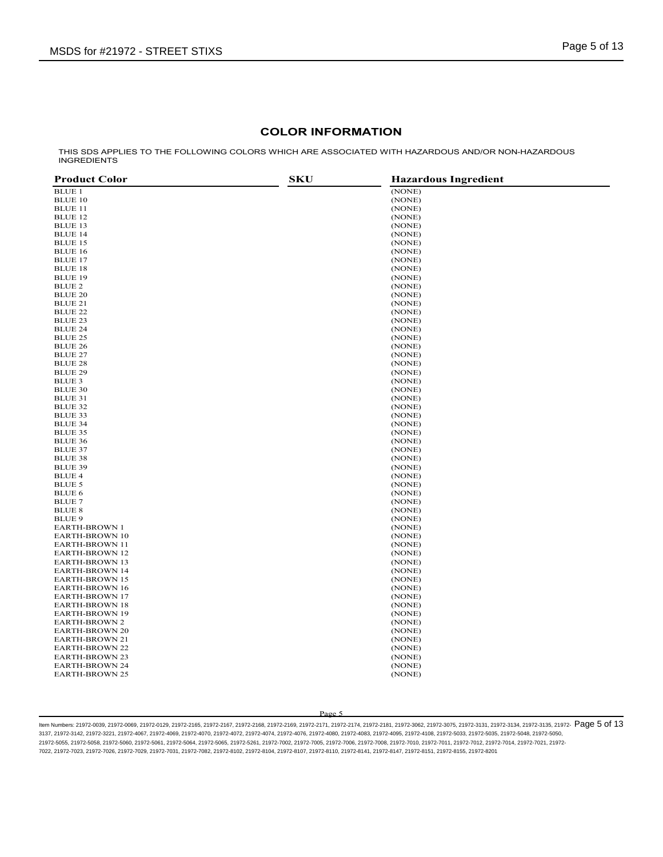## **COLOR INFORMATION**

THIS SDS APPLIES TO THE FOLLOWING COLORS WHICH ARE ASSOCIATED WITH HAZARDOUS AND/OR NON-HAZARDOUS INGREDIENTS

| <b>Product Color</b>  | <b>SKU</b> | <b>Hazardous Ingredient</b> |
|-----------------------|------------|-----------------------------|
| <b>BLUE 1</b>         |            | (NONE)                      |
| <b>BLUE 10</b>        |            | (NONE)                      |
| <b>BLUE 11</b>        |            | (NONE)                      |
| <b>BLUE 12</b>        |            | (NONE)                      |
| <b>BLUE 13</b>        |            | (NONE)                      |
| <b>BLUE 14</b>        |            | (NONE)                      |
| <b>BLUE 15</b>        |            | (NONE)                      |
| <b>BLUE 16</b>        |            | (NONE)                      |
| <b>BLUE 17</b>        |            | (NONE)                      |
| <b>BLUE 18</b>        |            | (NONE)                      |
| <b>BLUE 19</b>        |            | (NONE)                      |
| BLUE 2                |            | (NONE)                      |
| <b>BLUE 20</b>        |            | (NONE)                      |
| BLUE 21               |            | (NONE)                      |
| <b>BLUE 22</b>        |            | (NONE)                      |
| <b>BLUE 23</b>        |            | (NONE)                      |
| <b>BLUE 24</b>        |            | (NONE)                      |
| <b>BLUE 25</b>        |            | (NONE)                      |
| <b>BLUE 26</b>        |            | (NONE)                      |
| <b>BLUE 27</b>        |            | (NONE)                      |
| <b>BLUE 28</b>        |            | (NONE)                      |
| <b>BLUE 29</b>        |            | (NONE)                      |
| BLUE 3                |            | (NONE)                      |
| <b>BLUE 30</b>        |            | (NONE)                      |
| BLUE 31               |            | (NONE)                      |
| BLUE 32               |            | (NONE)                      |
| <b>BLUE 33</b>        |            | (NONE)                      |
| <b>BLUE 34</b>        |            | (NONE)                      |
| <b>BLUE 35</b>        |            | (NONE)                      |
| <b>BLUE 36</b>        |            | (NONE)                      |
| <b>BLUE 37</b>        |            | (NONE)                      |
| <b>BLUE 38</b>        |            | (NONE)                      |
| <b>BLUE 39</b>        |            | (NONE)                      |
| <b>BLUE 4</b>         |            | (NONE)                      |
| BLUE 5                |            | (NONE)                      |
| <b>BLUE 6</b>         |            | (NONE)                      |
| <b>BLUE 7</b>         |            | (NONE)                      |
| <b>BLUE 8</b>         |            | (NONE)                      |
| <b>BLUE 9</b>         |            | (NONE)                      |
| <b>EARTH-BROWN 1</b>  |            | (NONE)                      |
| <b>EARTH-BROWN 10</b> |            | (NONE)                      |
| <b>EARTH-BROWN 11</b> |            | (NONE)                      |
| <b>EARTH-BROWN 12</b> |            | (NONE)                      |
| <b>EARTH-BROWN 13</b> |            | (NONE)                      |
| <b>EARTH-BROWN 14</b> |            | (NONE)                      |
| <b>EARTH-BROWN 15</b> |            | (NONE)                      |
| <b>EARTH-BROWN 16</b> |            | (NONE)                      |
| <b>EARTH-BROWN 17</b> |            | (NONE)                      |
| <b>EARTH-BROWN 18</b> |            | (NONE)                      |
| <b>EARTH-BROWN 19</b> |            | (NONE)                      |
| <b>EARTH-BROWN 2</b>  |            | (NONE)                      |
| <b>EARTH-BROWN 20</b> |            | (NONE)                      |
| EARTH-BROWN 21        |            | (NONE)                      |
| <b>EARTH-BROWN 22</b> |            | (NONE)                      |
| <b>EARTH-BROWN 23</b> |            | (NONE)                      |
| <b>EARTH-BROWN 24</b> |            | (NONE)                      |
| <b>EARTH-BROWN 25</b> |            | (NONE)                      |
|                       |            |                             |

Page 5

ltem Numbers: 21972-0039, 21972-0069, 21972-0129, 21972-2165, 21972-2167, 21972-2168, 21972-2169, 21972-2171, 21972-2174, 21972-2181, 21972-3062, 21972-3075, 21972-3131, 21972-3134, 21972-3135, 21972-  $\mathsf{P} \mathsf{B} \mathsf{C}$ 3137, 21972-3142, 21972-3221, 21972-4067, 21972-4069, 21972-4070, 21972-4072, 21972-4074, 21972-4076, 21972-4080, 21972-4083, 21972-4095, 21972-4108, 21972-5033, 21972-5035, 21972-5048, 21972-5050, 21972-5055, 21972-5058, 21972-5060, 21972-5061, 21972-5064, 21972-5065, 21972-5261, 21972-7002, 21972-7005, 21972-7006, 21972-7008, 21972-7010, 21972-7011, 21972-7012, 21972-7014, 21972-7021, 21972- 7022, 21972-7023, 21972-7026, 21972-7029, 21972-7031, 21972-7082, 21972-8102, 21972-8104, 21972-8107, 21972-8110, 21972-8141, 21972-8147, 21972-8151, 21972-8155, 21972-8201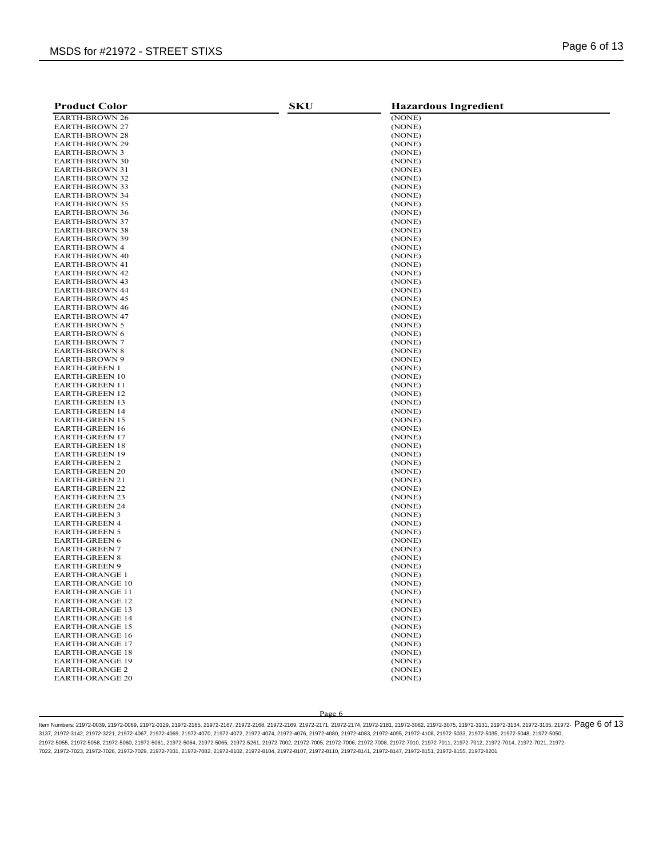| <b>Product Color</b>                             | <b>SKU</b> | <b>Hazardous Ingredient</b> |
|--------------------------------------------------|------------|-----------------------------|
| <b>EARTH-BROWN 26</b>                            |            | (NONE)                      |
| <b>EARTH-BROWN 27</b>                            |            | (NONE)                      |
| <b>EARTH-BROWN 28</b>                            |            | (NONE)                      |
| <b>EARTH-BROWN 29</b>                            |            | (NONE)                      |
| EARTH-BROWN 3                                    |            | (NONE)                      |
| <b>EARTH-BROWN 30</b>                            |            | (NONE)                      |
| EARTH-BROWN 31                                   |            | (NONE)                      |
| <b>EARTH-BROWN 32</b>                            |            | (NONE)                      |
| <b>EARTH-BROWN 33</b>                            |            | (NONE)                      |
| <b>EARTH-BROWN 34</b>                            |            | (NONE)                      |
| <b>EARTH-BROWN 35</b>                            |            | (NONE)                      |
| <b>EARTH-BROWN 36</b>                            |            | (NONE)                      |
| <b>EARTH-BROWN 37</b>                            |            | (NONE)                      |
| <b>EARTH-BROWN 38</b>                            |            | (NONE)                      |
| <b>EARTH-BROWN 39</b>                            |            | (NONE)                      |
| <b>EARTH-BROWN 4</b>                             |            | (NONE)                      |
| <b>EARTH-BROWN 40</b>                            |            | (NONE)                      |
| EARTH-BROWN 41                                   |            | (NONE)                      |
| <b>EARTH-BROWN 42</b>                            |            | (NONE)                      |
| <b>EARTH-BROWN 43</b>                            |            | (NONE)                      |
| <b>EARTH-BROWN 44</b>                            |            | (NONE)                      |
| <b>EARTH-BROWN 45</b>                            |            | (NONE)                      |
| <b>EARTH-BROWN 46</b>                            |            | (NONE)                      |
| <b>EARTH-BROWN 47</b>                            |            | (NONE)                      |
| <b>EARTH-BROWN 5</b><br><b>EARTH-BROWN 6</b>     |            | (NONE)                      |
| <b>EARTH-BROWN 7</b>                             |            | (NONE)                      |
| <b>EARTH-BROWN 8</b>                             |            | (NONE)<br>(NONE)            |
| <b>EARTH-BROWN 9</b>                             |            | (NONE)                      |
| <b>EARTH-GREEN 1</b>                             |            | (NONE)                      |
| <b>EARTH-GREEN 10</b>                            |            | (NONE)                      |
| <b>EARTH-GREEN 11</b>                            |            | (NONE)                      |
| <b>EARTH-GREEN 12</b>                            |            | (NONE)                      |
| <b>EARTH-GREEN 13</b>                            |            | (NONE)                      |
| <b>EARTH-GREEN 14</b>                            |            | (NONE)                      |
| <b>EARTH-GREEN 15</b>                            |            | (NONE)                      |
| <b>EARTH-GREEN 16</b>                            |            | (NONE)                      |
| <b>EARTH-GREEN 17</b>                            |            | (NONE)                      |
| <b>EARTH-GREEN 18</b>                            |            | (NONE)                      |
| <b>EARTH-GREEN 19</b>                            |            | (NONE)                      |
| <b>EARTH-GREEN 2</b>                             |            | (NONE)                      |
| <b>EARTH-GREEN 20</b>                            |            | (NONE)                      |
| <b>EARTH-GREEN 21</b>                            |            | (NONE)                      |
| <b>EARTH-GREEN 22</b>                            |            | (NONE)                      |
| <b>EARTH-GREEN 23</b>                            |            | (NONE)                      |
| <b>EARTH-GREEN 24</b>                            |            | (NONE)                      |
| <b>EARTH-GREEN 3</b>                             |            | (NONE)                      |
| <b>EARTH-GREEN 4</b>                             |            | (NONE)                      |
| <b>EARTH-GREEN 5</b>                             |            | (NONE)                      |
| <b>EARTH-GREEN 6</b>                             |            | (NONE)                      |
| <b>EARTH-GREEN 7</b>                             |            | (NONE)                      |
| <b>EARTH-GREEN 8</b>                             |            | (NONE)                      |
| <b>EARTH-GREEN 9</b>                             |            | (NONE)                      |
| <b>EARTH-ORANGE 1</b>                            |            | (NONE)                      |
| <b>EARTH-ORANGE 10</b>                           |            | (NONE)                      |
| <b>EARTH-ORANGE 11</b>                           |            | (NONE)                      |
| <b>EARTH-ORANGE 12</b>                           |            | (NONE)                      |
| <b>EARTH-ORANGE 13</b><br><b>EARTH-ORANGE 14</b> |            | (NONE)<br>(NONE)            |
| <b>EARTH-ORANGE 15</b>                           |            | (NONE)                      |
| <b>EARTH-ORANGE 16</b>                           |            | (NONE)                      |
| <b>EARTH-ORANGE 17</b>                           |            | (NONE)                      |
| <b>EARTH-ORANGE 18</b>                           |            | (NONE)                      |
| <b>EARTH-ORANGE 19</b>                           |            | (NONE)                      |
| <b>EARTH-ORANGE 2</b>                            |            | (NONE)                      |
| <b>EARTH-ORANGE 20</b>                           |            | (NONE)                      |
|                                                  |            |                             |

ltem Numbers: 21972-0039, 21972-0069, 21972-0129, 21972-2165, 21972-2167, 21972-2168, 21972-2169, 21972-2171, 21972-2174, 21972-2181, 21972-3062, 21972-3075, 21972-3131, 21972-3134, 21972-3135, 21972-  $\overline{P}$   $\overline{O}$   $\over$ 3137, 21972-3142, 21972-3221, 21972-4067, 21972-4069, 21972-4070, 21972-4072, 21972-4074, 21972-4076, 21972-4080, 21972-4083, 21972-4095, 21972-4108, 21972-5033, 21972-5035, 21972-5048, 21972-5050, 21972-5055, 21972-5058, 21972-5060, 21972-5061, 21972-5064, 21972-5065, 21972-5261, 21972-7002, 21972-7005, 21972-7006, 21972-7008, 21972-7010, 21972-7011, 21972-7012, 21972-7014, 21972-7021, 21972- 7022, 21972-7023, 21972-7026, 21972-7029, 21972-7031, 21972-7082, 21972-8102, 21972-8104, 21972-8107, 21972-8110, 21972-8141, 21972-8147, 21972-8151, 21972-8155, 21972-8201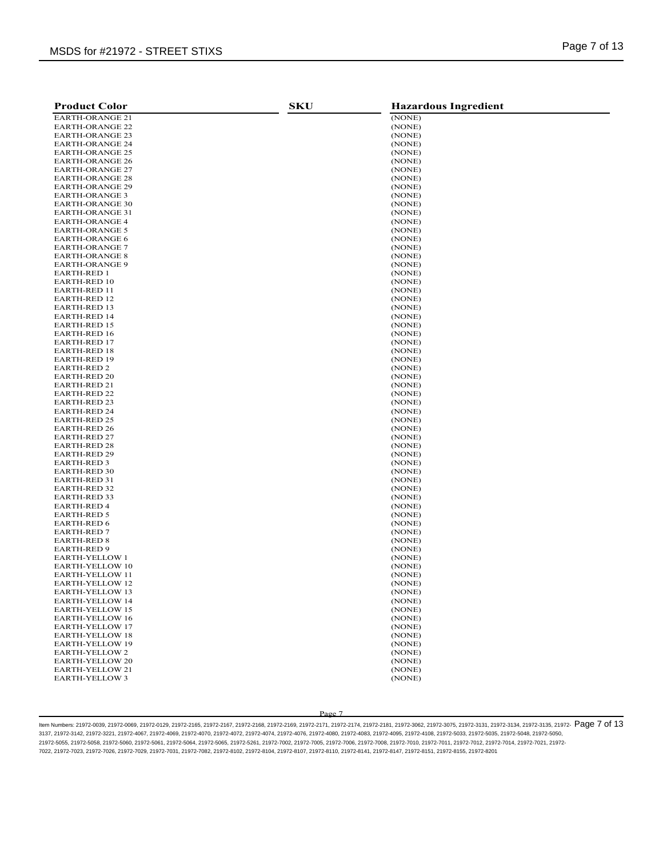| <b>Product Color</b>                       | <b>SKU</b> | <b>Hazardous Ingredient</b> |
|--------------------------------------------|------------|-----------------------------|
| <b>EARTH-ORANGE 21</b>                     |            | (NONE)                      |
| <b>EARTH-ORANGE 22</b>                     |            | (NONE)                      |
| <b>EARTH-ORANGE 23</b>                     |            | (NONE)                      |
| <b>EARTH-ORANGE 24</b>                     |            | (NONE)                      |
| <b>EARTH-ORANGE 25</b>                     |            | (NONE)                      |
| <b>EARTH-ORANGE 26</b>                     |            | (NONE)                      |
| <b>EARTH-ORANGE 27</b>                     |            | (NONE)                      |
| <b>EARTH-ORANGE 28</b>                     |            | (NONE)                      |
| <b>EARTH-ORANGE 29</b>                     |            | (NONE)                      |
| <b>EARTH-ORANGE 3</b>                      |            | (NONE)                      |
| <b>EARTH-ORANGE 30</b>                     |            | (NONE)                      |
| <b>EARTH-ORANGE 31</b>                     |            | (NONE)                      |
| <b>EARTH-ORANGE 4</b>                      |            | (NONE)                      |
| <b>EARTH-ORANGE 5</b>                      |            | (NONE)                      |
| <b>EARTH-ORANGE 6</b>                      |            | (NONE)                      |
| <b>EARTH-ORANGE 7</b>                      |            | (NONE)                      |
| <b>EARTH-ORANGE 8</b>                      |            | (NONE)                      |
| <b>EARTH-ORANGE 9</b>                      |            | (NONE)                      |
| <b>EARTH-RED 1</b>                         |            | (NONE)                      |
| <b>EARTH-RED 10</b>                        |            | (NONE)                      |
| EARTH-RED 11                               |            | (NONE)                      |
| EARTH-RED 12                               |            | (NONE)                      |
| <b>EARTH-RED 13</b>                        |            | (NONE)                      |
| <b>EARTH-RED 14</b>                        |            | (NONE)                      |
| <b>EARTH-RED 15</b>                        |            | (NONE)                      |
| <b>EARTH-RED 16</b>                        |            | (NONE)                      |
| <b>EARTH-RED 17</b>                        |            | (NONE)                      |
| <b>EARTH-RED 18</b>                        |            | (NONE)                      |
| <b>EARTH-RED 19</b>                        |            | (NONE)                      |
| EARTH-RED 2                                |            | (NONE)                      |
| <b>EARTH-RED 20</b>                        |            | (NONE)<br>(NONE)            |
| EARTH-RED 21                               |            |                             |
| <b>EARTH-RED 22</b><br><b>EARTH-RED 23</b> |            | (NONE)<br>(NONE)            |
| EARTH-RED 24                               |            | (NONE)                      |
| <b>EARTH-RED 25</b>                        |            | (NONE)                      |
| <b>EARTH-RED 26</b>                        |            | (NONE)                      |
| <b>EARTH-RED 27</b>                        |            | (NONE)                      |
| EARTH-RED 28                               |            | (NONE)                      |
| <b>EARTH-RED 29</b>                        |            | (NONE)                      |
| EARTH-RED 3                                |            | (NONE)                      |
| <b>EARTH-RED 30</b>                        |            | (NONE)                      |
| EARTH-RED 31                               |            | (NONE)                      |
| <b>EARTH-RED 32</b>                        |            | (NONE)                      |
| <b>EARTH-RED 33</b>                        |            | (NONE)                      |
| EARTH-RED 4                                |            | (NONE)                      |
| <b>EARTH-RED 5</b>                         |            | (NONE)                      |
| <b>EARTH-RED 6</b>                         |            | (NONE)                      |
| EARTH-RED 7                                |            | (NONE)                      |
| <b>EARTH-RED 8</b>                         |            | (NONE)                      |
| <b>EARTH-RED 9</b>                         |            | (NONE)                      |
| <b>EARTH-YELLOW 1</b>                      |            | (NONE)                      |
| <b>EARTH-YELLOW 10</b>                     |            | (NONE)                      |
| <b>EARTH-YELLOW 11</b>                     |            | (NONE)                      |
| <b>EARTH-YELLOW 12</b>                     |            | (NONE)                      |
| EARTH-YELLOW 13                            |            | (NONE)                      |
| EARTH-YELLOW 14                            |            | (NONE)                      |
| <b>EARTH-YELLOW 15</b>                     |            | (NONE)                      |
| <b>EARTH-YELLOW 16</b>                     |            | (NONE)                      |
| <b>EARTH-YELLOW 17</b>                     |            | (NONE)                      |
| <b>EARTH-YELLOW 18</b>                     |            | (NONE)                      |
| <b>EARTH-YELLOW 19</b>                     |            | (NONE)                      |
| <b>EARTH-YELLOW2</b>                       |            | (NONE)                      |
| <b>EARTH-YELLOW 20</b>                     |            | (NONE)                      |
| EARTH-YELLOW 21                            |            | (NONE)                      |
| <b>EARTH-YELLOW 3</b>                      |            | (NONE)                      |

ltem Numbers: 21972-0039, 21972-0069, 21972-0129, 21972-2165, 21972-2168, 21972-2168, 21972-2169, 21972-2171, 21972-2174, 21972-2181, 21972-3062, 21972-3075, 21972-3131, 21972-3134, 21972-3135, 21972-  $\mathbf{P}$  Of  $\mathbf{13}$ 3137, 21972-3142, 21972-3221, 21972-4067, 21972-4069, 21972-4070, 21972-4072, 21972-4074, 21972-4076, 21972-4080, 21972-4083, 21972-4095, 21972-4108, 21972-5033, 21972-5035, 21972-5048, 21972-5050, 21972-5055, 21972-5058, 21972-5060, 21972-5061, 21972-5064, 21972-5065, 21972-5261, 21972-7002, 21972-7005, 21972-7006, 21972-7008, 21972-7010, 21972-7011, 21972-7012, 21972-7014, 21972-7021, 21972- 7022, 21972-7023, 21972-7026, 21972-7029, 21972-7031, 21972-7082, 21972-8102, 21972-8104, 21972-8107, 21972-8110, 21972-8141, 21972-8147, 21972-8151, 21972-8155, 21972-8201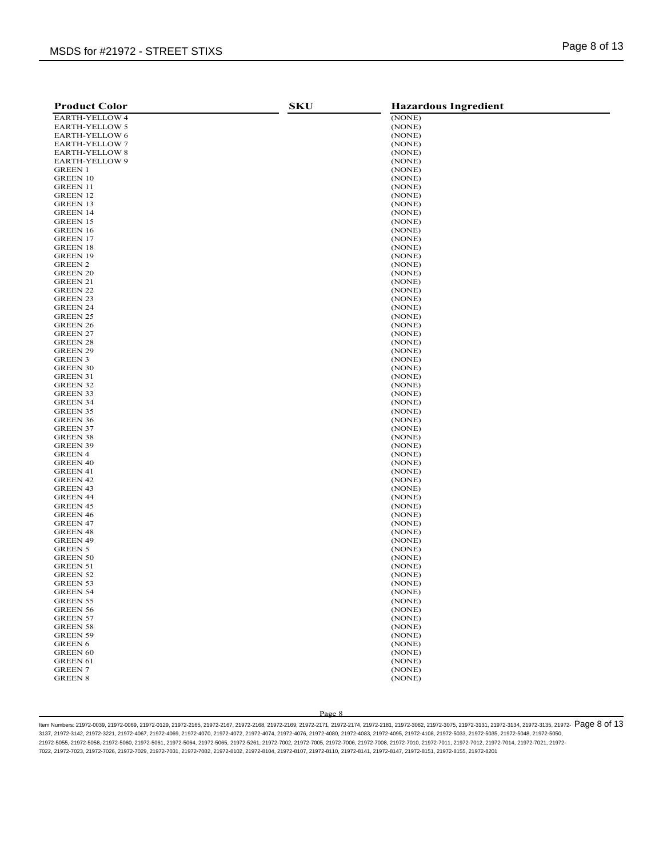| <b>Product Color</b>              | <b>SKU</b> | <b>Hazardous Ingredient</b> |
|-----------------------------------|------------|-----------------------------|
| <b>EARTH-YELLOW 4</b>             |            | (NONE)                      |
| <b>EARTH-YELLOW 5</b>             |            | (NONE)                      |
| EARTH-YELLOW 6                    |            | (NONE)                      |
| <b>EARTH-YELLOW 7</b>             |            | (NONE)                      |
| <b>EARTH-YELLOW 8</b>             |            | (NONE)                      |
| EARTH-YELLOW 9                    |            | (NONE)                      |
| <b>GREEN 1</b>                    |            | (NONE)                      |
| <b>GREEN 10</b>                   |            | (NONE)                      |
| <b>GREEN 11</b>                   |            | (NONE)                      |
| GREEN 12                          |            | (NONE)                      |
| GREEN 13                          |            | (NONE)                      |
| <b>GREEN 14</b>                   |            | (NONE)                      |
| <b>GREEN 15</b>                   |            | (NONE)                      |
| GREEN 16                          |            | (NONE)                      |
| <b>GREEN 17</b>                   |            | (NONE)                      |
| GREEN 18                          |            | (NONE)                      |
| <b>GREEN 19</b>                   |            | (NONE)                      |
| GREEN 2                           |            | (NONE)                      |
| <b>GREEN 20</b>                   |            | (NONE)                      |
| GREEN 21                          |            | (NONE)                      |
| GREEN 22                          |            | (NONE)                      |
| GREEN 23                          |            | (NONE)                      |
| <b>GREEN 24</b>                   |            | (NONE)                      |
| GREEN 25                          |            | (NONE)                      |
| GREEN 26                          |            | (NONE)                      |
| GREEN 27                          |            | (NONE)                      |
| GREEN 28                          |            | (NONE)                      |
| GREEN 29                          |            | (NONE)                      |
| <b>GREEN 3</b><br><b>GREEN 30</b> |            | (NONE)<br>(NONE)            |
| GREEN 31                          |            | (NONE)                      |
| <b>GREEN 32</b>                   |            | (NONE)                      |
| <b>GREEN 33</b>                   |            | (NONE)                      |
| GREEN 34                          |            | (NONE)                      |
| GREEN 35                          |            | (NONE)                      |
| GREEN 36                          |            | (NONE)                      |
| GREEN 37                          |            | (NONE)                      |
| GREEN 38                          |            | (NONE)                      |
| GREEN 39                          |            | (NONE)                      |
| <b>GREEN 4</b>                    |            | (NONE)                      |
| <b>GREEN 40</b>                   |            | (NONE)                      |
| <b>GREEN 41</b>                   |            | (NONE)                      |
| GREEN 42                          |            | (NONE)                      |
| <b>GREEN 43</b>                   |            | (NONE)                      |
| <b>GREEN 44</b>                   |            | (NONE)                      |
| GREEN 45                          |            | (NONE)                      |
| GREEN 46                          |            | (NONE)                      |
| <b>GREEN 47</b>                   |            | (NONE)                      |
| GREEN 48                          |            | (NONE)                      |
| GREEN 49                          |            | (NONE)                      |
| <b>GREEN 5</b>                    |            | (NONE)                      |
| GREEN 50                          |            | (NONE)                      |
| GREEN 51                          |            | (NONE)                      |
| GREEN 52                          |            | (NONE)                      |
| GREEN 53                          |            | (NONE)                      |
| <b>GREEN 54</b>                   |            | (NONE)                      |
| GREEN 55                          |            | (NONE)                      |
| <b>GREEN 56</b>                   |            | (NONE)                      |
| <b>GREEN 57</b>                   |            | (NONE)                      |
| <b>GREEN 58</b>                   |            | (NONE)                      |
| <b>GREEN 59</b><br><b>GREEN 6</b> |            | (NONE)<br>(NONE)            |
| <b>GREEN 60</b>                   |            | (NONE)                      |
|                                   |            |                             |
| <b>GREEN 61</b><br><b>GREEN 7</b> |            | (NONE)<br>(NONE)            |
| <b>GREEN 8</b>                    |            | (NONE)                      |
|                                   |            |                             |

ltem Numbers: 21972-0039, 21972-0069, 21972-0129, 21972-2165, 21972-2168, 21972-2168, 21972-2169, 21972-2171, 21972-2174, 21972-2181, 21972-3062, 21972-3075, 21972-3131, 21972-3134, 21972-3135, 21972-  $\overline{P}$   $\overline{O}$   $\over$ 3137, 21972-3142, 21972-3221, 21972-4067, 21972-4069, 21972-4070, 21972-4072, 21972-4074, 21972-4076, 21972-4080, 21972-4083, 21972-4095, 21972-4108, 21972-5033, 21972-5035, 21972-5048, 21972-5050, 21972-5055, 21972-5058, 21972-5060, 21972-5061, 21972-5064, 21972-5065, 21972-5261, 21972-7002, 21972-7005, 21972-7006, 21972-7008, 21972-7010, 21972-7011, 21972-7012, 21972-7014, 21972-7021, 21972- 7022, 21972-7023, 21972-7026, 21972-7029, 21972-7031, 21972-7082, 21972-8102, 21972-8104, 21972-8107, 21972-8110, 21972-8141, 21972-8147, 21972-8151, 21972-8155, 21972-8201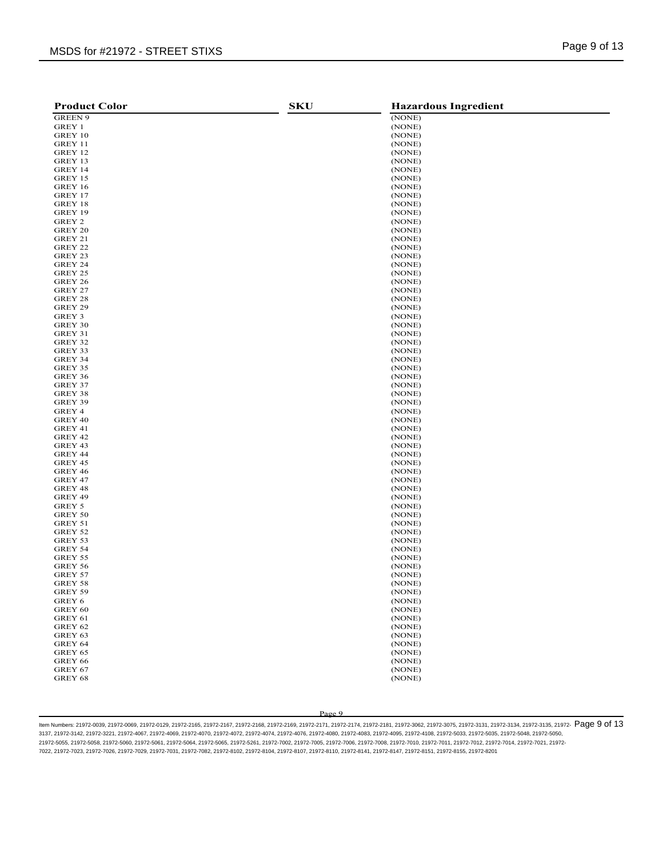| <b>Product Color</b> | <b>SKU</b> | <b>Hazardous Ingredient</b> |
|----------------------|------------|-----------------------------|
| <b>GREEN 9</b>       |            | (NONE)                      |
| GREY 1               |            | (NONE)                      |
| GREY 10              |            | (NONE)                      |
| GREY 11              |            | (NONE)                      |
| GREY 12              |            | (NONE)                      |
| GREY 13              |            | (NONE)                      |
| GREY 14              |            | (NONE)                      |
| GREY 15              |            | (NONE)                      |
| GREY 16              |            | (NONE)                      |
| GREY 17              |            | (NONE)                      |
| GREY 18              |            | (NONE)                      |
| GREY 19              |            | (NONE)                      |
| GREY 2               |            | (NONE)                      |
| GREY 20              |            | (NONE)                      |
| GREY 21              |            | (NONE)                      |
| GREY 22              |            | (NONE)                      |
| GREY 23              |            | (NONE)                      |
| GREY 24              |            | (NONE)                      |
| GREY 25              |            | (NONE)                      |
| GREY 26              |            | (NONE)                      |
| GREY 27              |            | (NONE)                      |
| GREY 28              |            | (NONE)                      |
| GREY 29              |            | (NONE)                      |
| GREY 3               |            | (NONE)                      |
| GREY 30              |            | (NONE)                      |
| GREY 31              |            | (NONE)                      |
| GREY 32              |            | (NONE)                      |
| GREY 33              |            | (NONE)                      |
| GREY 34              |            | (NONE)                      |
| GREY 35              |            | (NONE)                      |
| GREY 36              |            | (NONE)                      |
| GREY 37              |            | (NONE)                      |
| GREY 38              |            | (NONE)                      |
| GREY 39              |            | (NONE)                      |
| GREY 4               |            | (NONE)                      |
| GREY 40              |            | (NONE)                      |
| GREY 41              |            | (NONE)                      |
| GREY 42              |            | (NONE)                      |
| GREY 43              |            | (NONE)                      |
| GREY 44              |            | (NONE)                      |
| GREY 45              |            | (NONE)                      |
| GREY 46              |            | (NONE)                      |
| GREY 47              |            | (NONE)                      |
| GREY 48              |            | (NONE)                      |
| GREY 49              |            | (NONE)                      |
| GREY 5               |            | (NONE)                      |
| GREY 50              |            | (NONE)                      |
| GREY 51              |            | (NONE)                      |
| GREY 52              |            | (NONE)                      |
| GREY 53              |            | (NONE)                      |
| GREY 54              |            | (NONE)                      |
| GREY 55              |            | (NONE)                      |
| GREY 56              |            | (NONE)                      |
| GREY 57              |            | (NONE)                      |
| GREY 58              |            | (NONE)                      |
| GREY 59              |            | (NONE)                      |
| GREY 6               |            | (NONE)                      |
| GREY 60              |            | (NONE)                      |
| GREY 61              |            | (NONE)                      |
| GREY 62              |            | (NONE)                      |
| GREY 63              |            | (NONE)                      |
| GREY 64              |            | (NONE)                      |
| GREY 65              |            | (NONE)                      |
| <b>GREY 66</b>       |            | (NONE)                      |
| GREY 67              |            | (NONE)                      |
| GREY 68              |            | (NONE)                      |
|                      |            |                             |

ltem Numbers: 21972-0039, 21972-0069, 21972-0129, 21972-2165, 21972-2168, 21972-2168, 21972-2169, 21972-2171, 21972-2174, 21972-2181, 21972-3062, 21972-3075, 21972-3131, 21972-3134, 21972-3135, 21972-  $\overline{P}$   $\overline{O}$   $\over$ 3137, 21972-3142, 21972-3221, 21972-4067, 21972-4069, 21972-4070, 21972-4072, 21972-4074, 21972-4076, 21972-4080, 21972-4083, 21972-4095, 21972-4108, 21972-5033, 21972-5035, 21972-5048, 21972-5050, 21972-5055, 21972-5058, 21972-5060, 21972-5061, 21972-5064, 21972-5065, 21972-5261, 21972-7002, 21972-7005, 21972-7006, 21972-7008, 21972-7010, 21972-7011, 21972-7012, 21972-7014, 21972-7021, 21972- 7022, 21972-7023, 21972-7026, 21972-7029, 21972-7031, 21972-7082, 21972-8102, 21972-8104, 21972-8107, 21972-8110, 21972-8141, 21972-8147, 21972-8151, 21972-8155, 21972-8201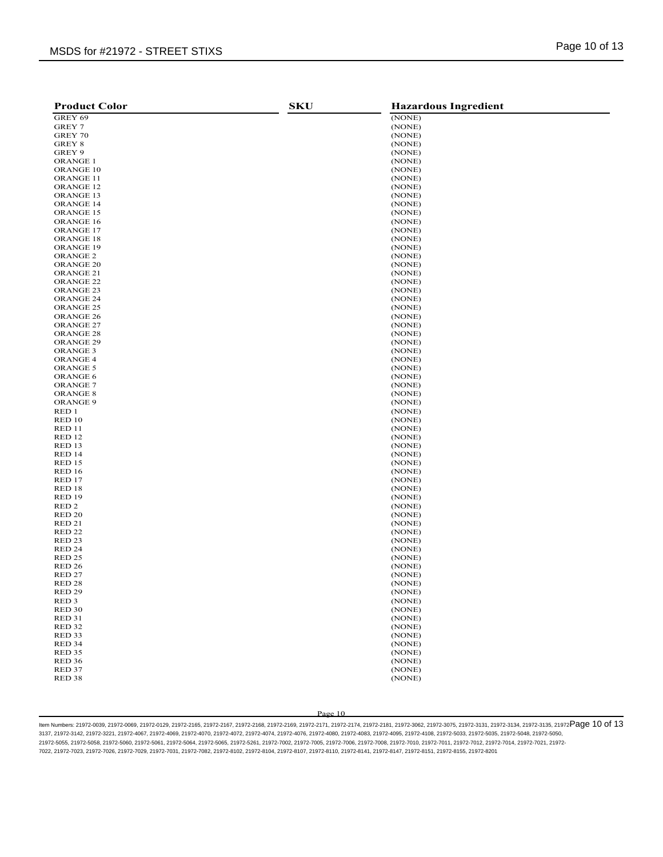# MSDS for #21972 - STREET STIXS **Example 20 of 13** MSDS for #21972 - STREET STIXS

| <b>Product Color</b>                   | <b>SKU</b> | <b>Hazardous Ingredient</b> |
|----------------------------------------|------------|-----------------------------|
| GREY 69                                |            | (NONE)                      |
| GREY 7                                 |            | (NONE)                      |
| GREY 70                                |            | (NONE)                      |
| GREY 8                                 |            | (NONE)                      |
| GREY 9                                 |            | (NONE)                      |
| <b>ORANGE 1</b>                        |            | (NONE)                      |
| ORANGE 10                              |            | (NONE)                      |
| <b>ORANGE 11</b>                       |            | (NONE)                      |
| ORANGE <sub>12</sub>                   |            | (NONE)                      |
| ORANGE 13                              |            | (NONE)                      |
| <b>ORANGE 14</b>                       |            | (NONE)                      |
| ORANGE 15                              |            | (NONE)                      |
| ORANGE 16                              |            | (NONE)                      |
| ORANGE 17                              |            | (NONE)                      |
| <b>ORANGE 18</b>                       |            | (NONE)                      |
| ORANGE 19                              |            | (NONE)                      |
| ORANGE <sub>2</sub>                    |            | (NONE)                      |
| <b>ORANGE 20</b>                       |            | (NONE)                      |
| ORANGE <sub>21</sub>                   |            | (NONE)                      |
| ORANGE <sub>22</sub>                   |            | (NONE)                      |
| ORANGE <sub>23</sub>                   |            | (NONE)                      |
| <b>ORANGE 24</b>                       |            | (NONE)                      |
| ORANGE <sub>25</sub>                   |            | (NONE)                      |
| <b>ORANGE 26</b>                       |            | (NONE)                      |
| ORANGE <sub>27</sub>                   |            | (NONE)                      |
| ORANGE <sub>28</sub>                   |            | (NONE)                      |
| <b>ORANGE 29</b>                       |            | (NONE)                      |
| ORANGE <sub>3</sub>                    |            |                             |
|                                        |            | (NONE)                      |
| <b>ORANGE 4</b>                        |            | (NONE)                      |
| ORANGE 5                               |            | (NONE)<br>(NONE)            |
| <b>ORANGE 6</b>                        |            |                             |
| <b>ORANGE 7</b>                        |            | (NONE)                      |
| <b>ORANGE 8</b>                        |            | (NONE)                      |
| ORANGE 9                               |            | (NONE)                      |
| RED 1                                  |            | (NONE)                      |
| RED 10                                 |            | (NONE)                      |
| RED 11                                 |            | (NONE)                      |
| RED <sub>12</sub>                      |            | (NONE)                      |
| RED 13                                 |            | (NONE)                      |
| RED 14                                 |            | (NONE)                      |
| <b>RED 15</b>                          |            | (NONE)                      |
| <b>RED 16</b>                          |            | (NONE)                      |
| RED 17                                 |            | (NONE)                      |
| RED 18                                 |            | (NONE)                      |
| RED <sub>19</sub>                      |            | (NONE)                      |
| RED <sub>2</sub>                       |            | (NONE)                      |
| RED <sub>20</sub><br><b>RED 21</b>     |            | (NONE)                      |
|                                        |            | (NONE)                      |
| RED <sub>22</sub>                      |            | (NONE)                      |
| RED <sub>23</sub>                      |            | (NONE)                      |
| RED <sub>24</sub>                      |            | (NONE)<br>(NONE)            |
| RED <sub>25</sub>                      |            |                             |
| RED <sub>26</sub><br>RED <sub>27</sub> |            | (NONE)                      |
| RED <sub>28</sub>                      |            | (NONE)                      |
|                                        |            | (NONE)<br>(NONE)            |
| RED <sub>29</sub>                      |            |                             |
| RED <sub>3</sub><br><b>RED 30</b>      |            | (NONE)<br>(NONE)            |
| <b>RED 31</b>                          |            | (NONE)                      |
| <b>RED 32</b>                          |            | (NONE)                      |
| RED <sub>33</sub>                      |            | (NONE)                      |
| RED 34                                 |            | (NONE)                      |
| <b>RED 35</b>                          |            | (NONE)                      |
|                                        |            |                             |
| <b>RED 36</b>                          |            | (NONE)<br>(NONE)            |
| RED 37<br>RED <sub>38</sub>            |            | (NONE)                      |
|                                        |            |                             |

Page 10

ltem Numbers: 21972-0039, 21972-0069, 21972-0129, 21972-2165, 21972-2168, 21972-2169, 21972-2171, 21972-2174, 21972-2181, 21972-3062, 21972-3075, 21972-3131, 21972-3134, 21972-3135, 21972-3135, 21972-3135, 21972-3135, 2197 3137, 21972-3142, 21972-3221, 21972-4067, 21972-4069, 21972-4070, 21972-4072, 21972-4074, 21972-4076, 21972-4080, 21972-4083, 21972-4095, 21972-4108, 21972-5033, 21972-5035, 21972-5048, 21972-5050, 21972-5055, 21972-5058, 21972-5060, 21972-5061, 21972-5064, 21972-5065, 21972-5261, 21972-7002, 21972-7005, 21972-7006, 21972-7008, 21972-7010, 21972-7011, 21972-7012, 21972-7014, 21972-7021, 21972- 7022, 21972-7023, 21972-7026, 21972-7029, 21972-7031, 21972-7082, 21972-8102, 21972-8104, 21972-8107, 21972-8110, 21972-8141, 21972-8147, 21972-8151, 21972-8155, 21972-8201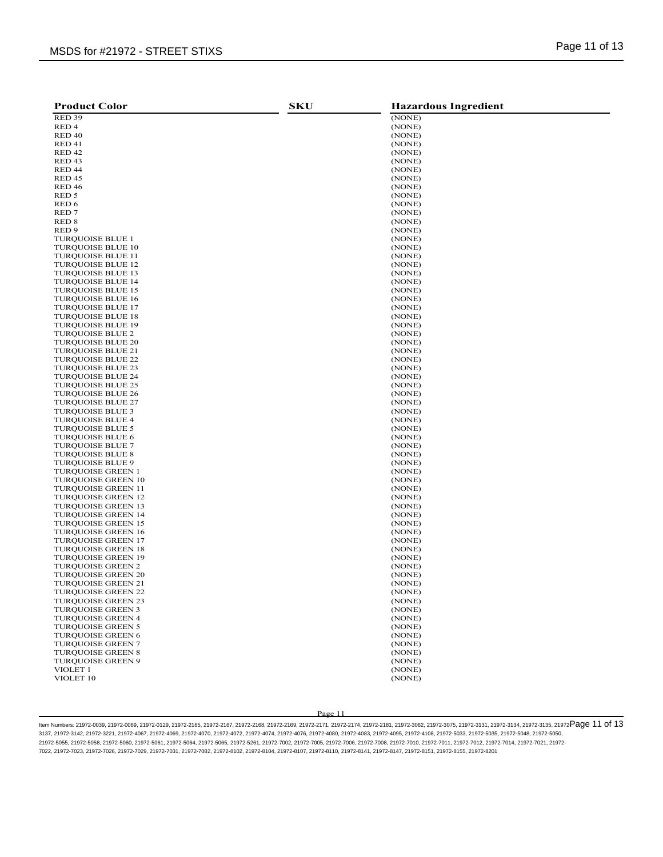| <b>Product Color</b>                                 | <b>SKU</b> | <b>Hazardous Ingredient</b> |
|------------------------------------------------------|------------|-----------------------------|
| RED <sub>39</sub>                                    |            | (NONE)                      |
| RED <sub>4</sub>                                     |            | (NONE)                      |
| RED <sub>40</sub>                                    |            | (NONE)                      |
| RED <sub>41</sub>                                    |            | (NONE)                      |
| RED <sub>42</sub>                                    |            | (NONE)                      |
| RED <sub>43</sub>                                    |            | (NONE)                      |
| RED <sub>44</sub>                                    |            | (NONE)                      |
| RED <sub>45</sub>                                    |            | (NONE)                      |
| <b>RED 46</b>                                        |            | (NONE)                      |
| RED 5                                                |            | (NONE)                      |
| RED 6                                                |            | (NONE)                      |
| RED <sub>7</sub>                                     |            | (NONE)                      |
| RED <sub>8</sub>                                     |            | (NONE)                      |
| RED <sub>9</sub>                                     |            | (NONE)                      |
| <b>TURQUOISE BLUE 1</b>                              |            | (NONE)                      |
| <b>TURQUOISE BLUE 10</b>                             |            | (NONE)                      |
| <b>TURQUOISE BLUE 11</b>                             |            | (NONE)                      |
| <b>TURQUOISE BLUE 12</b>                             |            | (NONE)                      |
| <b>TURQUOISE BLUE 13</b>                             |            | (NONE)                      |
| <b>TURQUOISE BLUE 14</b>                             |            | (NONE)                      |
| <b>TURQUOISE BLUE 15</b>                             |            | (NONE)                      |
| <b>TURQUOISE BLUE 16</b>                             |            | (NONE)                      |
| <b>TURQUOISE BLUE 17</b>                             |            | (NONE)                      |
| <b>TURQUOISE BLUE 18</b>                             |            | (NONE)                      |
| <b>TURQUOISE BLUE 19</b>                             |            | (NONE)                      |
| <b>TURQUOISE BLUE 2</b>                              |            | (NONE)                      |
| <b>TURQUOISE BLUE 20</b>                             |            | (NONE)                      |
| <b>TURQUOISE BLUE 21</b>                             |            | (NONE)                      |
| <b>TURQUOISE BLUE 22</b>                             |            | (NONE)<br>(NONE)            |
| <b>TURQUOISE BLUE 23</b>                             |            |                             |
| <b>TURQUOISE BLUE 24</b>                             |            | (NONE)                      |
| <b>TUROUOISE BLUE 25</b><br><b>TUROUOISE BLUE 26</b> |            | (NONE)<br>(NONE)            |
| <b>TURQUOISE BLUE 27</b>                             |            | (NONE)                      |
| <b>TURQUOISE BLUE 3</b>                              |            | (NONE)                      |
| <b>TURQUOISE BLUE 4</b>                              |            | (NONE)                      |
| <b>TURQUOISE BLUE 5</b>                              |            | (NONE)                      |
| <b>TURQUOISE BLUE 6</b>                              |            | (NONE)                      |
| <b>TURQUOISE BLUE 7</b>                              |            | (NONE)                      |
| <b>TURQUOISE BLUE 8</b>                              |            | (NONE)                      |
| <b>TURQUOISE BLUE 9</b>                              |            | (NONE)                      |
| <b>TURQUOISE GREEN 1</b>                             |            | (NONE)                      |
| <b>TURQUOISE GREEN 10</b>                            |            | (NONE)                      |
| <b>TURQUOISE GREEN 11</b>                            |            | (NONE)                      |
| <b>TURQUOISE GREEN 12</b>                            |            | (NONE)                      |
| <b>TURQUOISE GREEN 13</b>                            |            | (NONE)                      |
| <b>TURQUOISE GREEN 14</b>                            |            | (NONE)                      |
| <b>TURQUOISE GREEN 15</b>                            |            | (NONE)                      |
| <b>TURQUOISE GREEN 16</b>                            |            | (NONE)                      |
| <b>TURQUOISE GREEN 17</b>                            |            | (NONE)                      |
| <b>TURQUOISE GREEN 18</b>                            |            | (NONE)                      |
| <b>TURQUOISE GREEN 19</b>                            |            | (NONE)                      |
| <b>TURQUOISE GREEN 2</b>                             |            | (NONE)                      |
| <b>TURQUOISE GREEN 20</b>                            |            | (NONE)                      |
| TURQUOISE GREEN 21                                   |            | (NONE)                      |
| <b>TURQUOISE GREEN 22</b>                            |            | (NONE)                      |
| <b>TURQUOISE GREEN 23</b>                            |            | (NONE)                      |
| <b>TURQUOISE GREEN 3</b>                             |            | (NONE)                      |
| TURQUOISE GREEN 4                                    |            | (NONE)                      |
| TURQUOISE GREEN 5                                    |            | (NONE)                      |
| <b>TURQUOISE GREEN 6</b>                             |            | (NONE)                      |
| <b>TURQUOISE GREEN 7</b>                             |            | (NONE)                      |
| <b>TURQUOISE GREEN 8</b>                             |            | (NONE)                      |
| <b>TURQUOISE GREEN 9</b>                             |            | (NONE)                      |
| VIOLET <sub>1</sub>                                  |            | (NONE)                      |
| VIOLET 10                                            |            | (NONE)                      |
|                                                      |            |                             |

ltem Numbers: 21972-0039, 21972-0069, 21972-0129, 21972-2165, 21972-2168, 21972-2169, 21972-2171, 21972-2174, 21972-2181, 21972-3062, 21972-3075, 21972-3131, 21972-3134, 21972-3135, 21972-3135, 21972-3135, 21972-3135, 2197 3137, 21972-3142, 21972-3221, 21972-4067, 21972-4069, 21972-4070, 21972-4072, 21972-4074, 21972-4076, 21972-4080, 21972-4083, 21972-4095, 21972-4108, 21972-5033, 21972-5035, 21972-5048, 21972-5050, 21972-5055, 21972-5058, 21972-5060, 21972-5061, 21972-5064, 21972-5065, 21972-5261, 21972-7002, 21972-7005, 21972-7006, 21972-7008, 21972-7010, 21972-7011, 21972-7012, 21972-7014, 21972-7021, 21972- 7022, 21972-7023, 21972-7026, 21972-7029, 21972-7031, 21972-7082, 21972-8102, 21972-8104, 21972-8107, 21972-8110, 21972-8141, 21972-8147, 21972-8151, 21972-8155, 21972-8201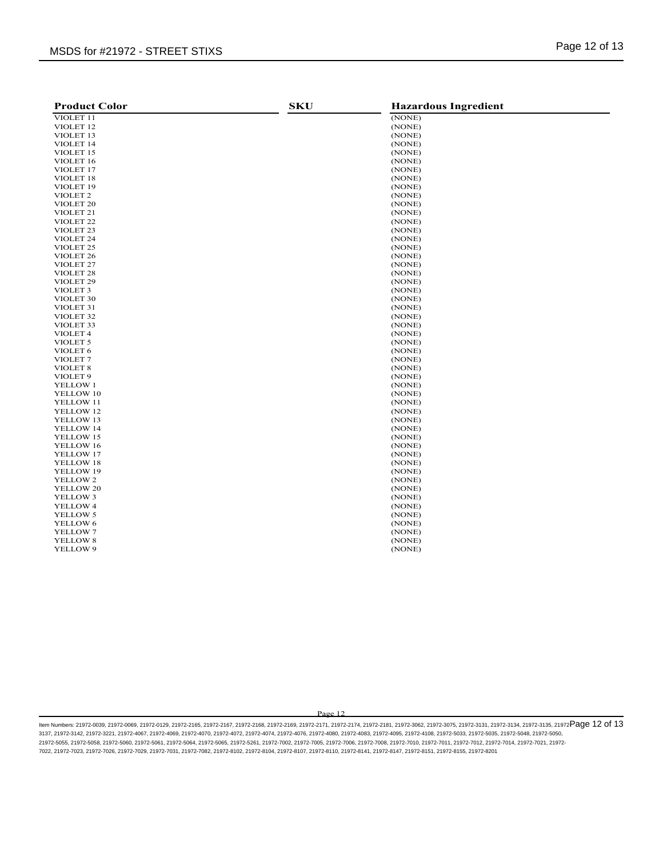# MSDS for #21972 - STREET STIXS **Example 20 of 13** MSDS for #21972 - STREET STIXS

| <b>Product Color</b> | <b>SKU</b> | <b>Hazardous Ingredient</b> |
|----------------------|------------|-----------------------------|
| VIOLET 11            |            | (NONE)                      |
| VIOLET <sub>12</sub> |            | (NONE)                      |
| VIOLET <sub>13</sub> |            | (NONE)                      |
| VIOLET 14            |            | (NONE)                      |
| VIOLET 15            |            | (NONE)                      |
| VIOLET 16            |            | (NONE)                      |
| VIOLET 17            |            | (NONE)                      |
| VIOLET 18            |            | (NONE)                      |
| VIOLET <sub>19</sub> |            | (NONE)                      |
| VIOLET <sub>2</sub>  |            | (NONE)                      |
| VIOLET <sub>20</sub> |            | (NONE)                      |
| VIOLET <sub>21</sub> |            | (NONE)                      |
| VIOLET <sub>22</sub> |            | (NONE)                      |
| VIOLET <sub>23</sub> |            | (NONE)                      |
| VIOLET <sub>24</sub> |            | (NONE)                      |
| VIOLET <sub>25</sub> |            | (NONE)                      |
| VIOLET <sub>26</sub> |            | (NONE)                      |
|                      |            |                             |
| VIOLET <sub>27</sub> |            | (NONE)                      |
| VIOLET <sub>28</sub> |            | (NONE)                      |
| VIOLET <sub>29</sub> |            | (NONE)                      |
| VIOLET <sub>3</sub>  |            | (NONE)                      |
| VIOLET 30            |            | (NONE)                      |
| VIOLET <sub>31</sub> |            | (NONE)                      |
| VIOLET <sub>32</sub> |            | (NONE)                      |
| VIOLET <sub>33</sub> |            | (NONE)                      |
| VIOLET 4             |            | (NONE)                      |
| VIOLET <sub>5</sub>  |            | (NONE)                      |
| VIOLET <sub>6</sub>  |            | (NONE)                      |
| VIOLET <sub>7</sub>  |            | (NONE)                      |
| VIOLET <sub>8</sub>  |            | (NONE)                      |
| VIOLET <sub>9</sub>  |            | (NONE)                      |
| YELLOW 1             |            | (NONE)                      |
| YELLOW 10            |            | (NONE)                      |
| YELLOW 11            |            | (NONE)                      |
| YELLOW 12            |            | (NONE)                      |
| YELLOW 13            |            | (NONE)                      |
| YELLOW 14            |            | (NONE)                      |
| YELLOW 15            |            | (NONE)                      |
| YELLOW 16            |            | (NONE)                      |
| YELLOW 17            |            | (NONE)                      |
| YELLOW 18            |            | (NONE)                      |
| YELLOW 19            |            | (NONE)                      |
| YELLOW 2             |            | (NONE)                      |
| YELLOW 20            |            | (NONE)                      |
| YELLOW 3             |            | (NONE)                      |
| YELLOW 4             |            | (NONE)                      |
| <b>YELLOW 5</b>      |            | (NONE)                      |
| YELLOW 6             |            | (NONE)                      |
| YELLOW 7             |            | (NONE)                      |
| YELLOW 8             |            | (NONE)                      |
| YELLOW 9             |            | (NONE)                      |
|                      |            |                             |

Page 12

ltem Numbers: 21972-0039, 21972-0069, 21972-0129, 21972-2165, 21972-2168, 21972-2169, 21972-2171, 21972-2174, 21972-2181, 21972-3062, 21972-3075, 21972-3131, 21972-3134, 21972-3135, 21972-3135, 21972-3135, 21972-3135, 2197 3137, 21972-3142, 21972-3221, 21972-4067, 21972-4069, 21972-4070, 21972-4072, 21972-4074, 21972-4076, 21972-4080, 21972-4083, 21972-4095, 21972-4108, 21972-5033, 21972-5035, 21972-5048, 21972-5050, 21972-5055, 21972-5058, 21972-5060, 21972-5061, 21972-5064, 21972-5065, 21972-5261, 21972-7002, 21972-7005, 21972-7006, 21972-7008, 21972-7010, 21972-7011, 21972-7012, 21972-7014, 21972-7021, 21972- 7022, 21972-7023, 21972-7026, 21972-7029, 21972-7031, 21972-7082, 21972-8102, 21972-8104, 21972-8107, 21972-8110, 21972-8141, 21972-8147, 21972-8151, 21972-8155, 21972-8201